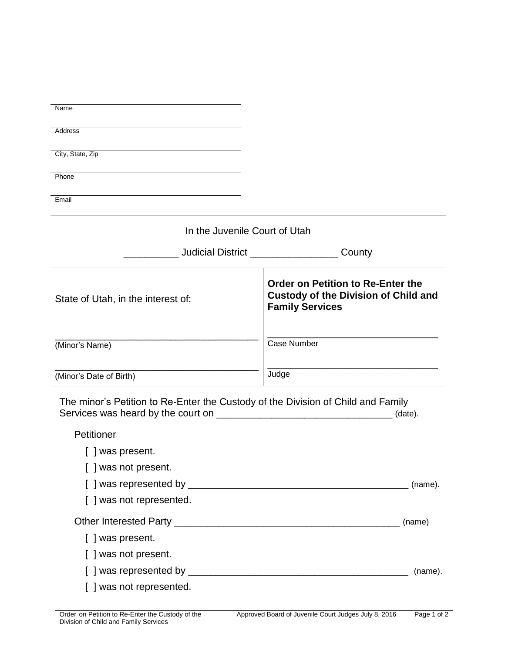| Name                                                                                                      |                                                                                                                   |
|-----------------------------------------------------------------------------------------------------------|-------------------------------------------------------------------------------------------------------------------|
|                                                                                                           |                                                                                                                   |
| Address                                                                                                   |                                                                                                                   |
| City, State, Zip                                                                                          |                                                                                                                   |
| Phone                                                                                                     |                                                                                                                   |
| Email                                                                                                     |                                                                                                                   |
|                                                                                                           |                                                                                                                   |
| In the Juvenile Court of Utah                                                                             |                                                                                                                   |
|                                                                                                           | Judicial District ______________________County                                                                    |
| State of Utah, in the interest of:                                                                        | <b>Order on Petition to Re-Enter the</b><br><b>Custody of the Division of Child and</b><br><b>Family Services</b> |
| (Minor's Name)                                                                                            | <b>Case Number</b>                                                                                                |
| (Minor's Date of Birth)                                                                                   | Judge                                                                                                             |
| The minor's Petition to Re-Enter the Custody of the Division of Child and Family<br>(date).<br>Petitioner |                                                                                                                   |
| [ ] was present.                                                                                          |                                                                                                                   |
| [ ] was not present.                                                                                      |                                                                                                                   |
|                                                                                                           | (name).                                                                                                           |
| [ ] was not represented.                                                                                  |                                                                                                                   |
|                                                                                                           |                                                                                                                   |
| [ ] was present.                                                                                          |                                                                                                                   |
| [ ] was not present.                                                                                      |                                                                                                                   |
|                                                                                                           | (name).                                                                                                           |
| [ ] was not represented.                                                                                  |                                                                                                                   |